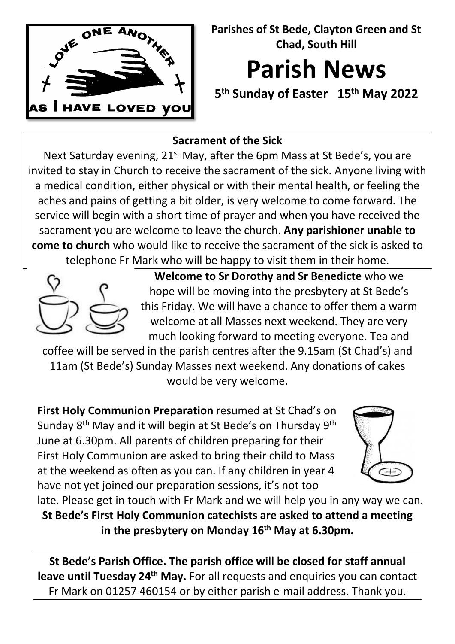

**Parishes of St Bede, Clayton Green and St Chad, South Hill**

# **Parish News**

**5th Sunday of Easter 15th May 2022** 

## **Sacrament of the Sick**

Next Saturday evening, 21<sup>st</sup> May, after the 6pm Mass at St Bede's, you are invited to stay in Church to receive the sacrament of the sick. Anyone living with a medical condition, either physical or with their mental health, or feeling the aches and pains of getting a bit older, is very welcome to come forward. The service will begin with a short time of prayer and when you have received the sacrament you are welcome to leave the church. **Any parishioner unable to come to church** who would like to receive the sacrament of the sick is asked to telephone Fr Mark who will be happy to visit them in their home.



**Welcome to Sr Dorothy and Sr Benedicte** who we hope will be moving into the presbytery at St Bede's this Friday. We will have a chance to offer them a warm welcome at all Masses next weekend. They are very much looking forward to meeting everyone. Tea and

coffee will be served in the parish centres after the 9.15am (St Chad's) and 11am (St Bede's) Sunday Masses next weekend. Any donations of cakes would be very welcome.

**First Holy Communion Preparation** resumed at St Chad's on Sunday 8th May and it will begin at St Bede's on Thursday 9th June at 6.30pm. All parents of children preparing for their First Holy Communion are asked to bring their child to Mass at the weekend as often as you can. If any children in year 4 have not yet joined our preparation sessions, it's not too



late. Please get in touch with Fr Mark and we will help you in any way we can. **St Bede's First Holy Communion catechists are asked to attend a meeting in the presbytery on Monday 16th May at 6.30pm.** 

**St Bede's Parish Office. The parish office will be closed for staff annual leave until Tuesday 24th May.** For all requests and enquiries you can contact Fr Mark on 01257 460154 or by either parish e-mail address. Thank you.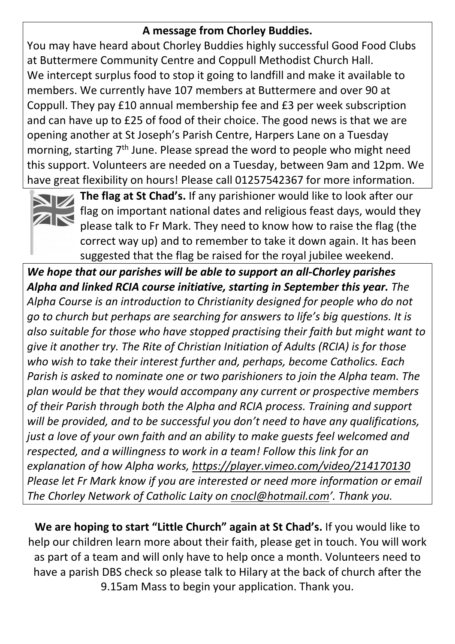### **A message from Chorley Buddies.**

You may have heard about Chorley Buddies highly successful Good Food Clubs at Buttermere Community Centre and Coppull Methodist Church Hall. We intercept surplus food to stop it going to landfill and make it available to members. We currently have 107 members at Buttermere and over 90 at Coppull. They pay £10 annual membership fee and £3 per week subscription and can have up to £25 of food of their choice. The good news is that we are opening another at St Joseph's Parish Centre, Harpers Lane on a Tuesday morning, starting 7<sup>th</sup> June. Please spread the word to people who might need this support. Volunteers are needed on a Tuesday, between 9am and 12pm. We have great flexibility on hours! Please call 01257542367 for more information.



**The flag at St Chad's.** If any parishioner would like to look after our flag on important national dates and religious feast days, would they please talk to Fr Mark. They need to know how to raise the flag (the correct way up) and to remember to take it down again. It has been suggested that the flag be raised for the royal jubilee weekend.

*We hope that our parishes will be able to support an all-Chorley parishes Alpha and linked RCIA course initiative, starting in September this year. The Alpha Course is an introduction to Christianity designed for people who do not go to church but perhaps are searching for answers to life's big questions. It is also suitable for those who have stopped practising their faith but might want to give it another try. The Rite of Christian Initiation of Adults (RCIA) is for those who wish to take their interest further and, perhaps, become Catholics. Each Parish is asked to nominate one or two parishioners to join the Alpha team. The plan would be that they would accompany any current or prospective members of their Parish through both the Alpha and RCIA process. Training and support will be provided, and to be successful you don't need to have any qualifications, just a love of your own faith and an ability to make guests feel welcomed and respected, and a willingness to work in a team! Follow this link for an explanation of how Alpha works,<https://player.vimeo.com/video/214170130> Please let Fr Mark know if you are interested or need more information or email The Chorley Network of Catholic Laity on [cnocl@hotmail.com'](mailto:cnocl@hotmail.com). Thank you.* 

**We are hoping to start "Little Church" again at St Chad's.** If you would like to help our children learn more about their faith, please get in touch. You will work as part of a team and will only have to help once a month. Volunteers need to have a parish DBS check so please talk to Hilary at the back of church after the 9.15am Mass to begin your application. Thank you.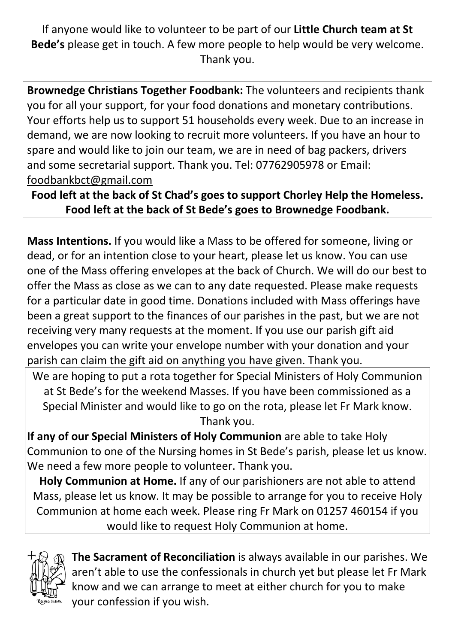If anyone would like to volunteer to be part of our **Little Church team at St Bede's** please get in touch. A few more people to help would be very welcome. Thank you.

**Brownedge Christians Together Foodbank:** The volunteers and recipients thank you for all your support, for your food donations and monetary contributions. Your efforts help us to support 51 households every week. Due to an increase in demand, we are now looking to recruit more volunteers. If you have an hour to spare and would like to join our team, we are in need of bag packers, drivers and some secretarial support. Thank you. Tel: 07762905978 or Email: [foodbankbct@gmail.com](mailto:foodbankbct@gmail.com) 

**Food left at the back of St Chad's goes to support Chorley Help the Homeless. Food left at the back of St Bede's goes to Brownedge Foodbank.**

**Mass Intentions.** If you would like a Mass to be offered for someone, living or dead, or for an intention close to your heart, please let us know. You can use one of the Mass offering envelopes at the back of Church. We will do our best to offer the Mass as close as we can to any date requested. Please make requests for a particular date in good time. Donations included with Mass offerings have been a great support to the finances of our parishes in the past, but we are not receiving very many requests at the moment. If you use our parish gift aid envelopes you can write your envelope number with your donation and your parish can claim the gift aid on anything you have given. Thank you.

We are hoping to put a rota together for Special Ministers of Holy Communion at St Bede's for the weekend Masses. If you have been commissioned as a Special Minister and would like to go on the rota, please let Fr Mark know. Thank you.

**If any of our Special Ministers of Holy Communion** are able to take Holy Communion to one of the Nursing homes in St Bede's parish, please let us know. We need a few more people to volunteer. Thank you.

**Holy Communion at Home.** If any of our parishioners are not able to attend Mass, please let us know. It may be possible to arrange for you to receive Holy Communion at home each week. Please ring Fr Mark on 01257 460154 if you would like to request Holy Communion at home.



**The Sacrament of Reconciliation** is always available in our parishes. We aren't able to use the confessionals in church yet but please let Fr Mark know and we can arrange to meet at either church for you to make your confession if you wish.